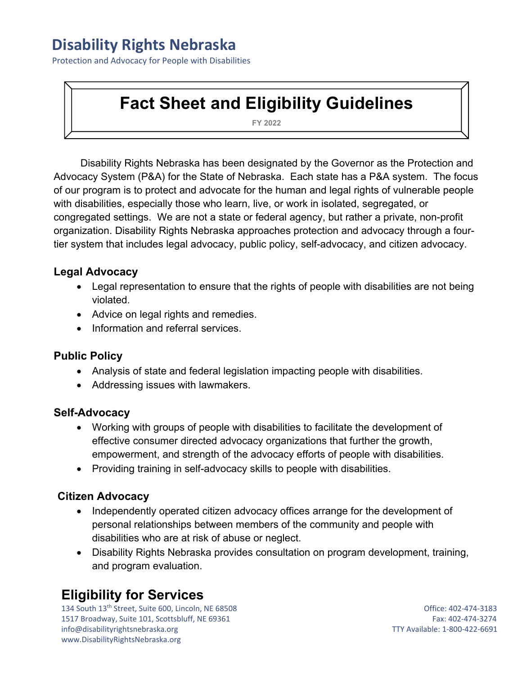# **Disability Rights Nebraska**

Protection and Advocacy for People with Disabilities

# **Fact Sheet and Eligibility Guidelines**

**FY 2022**

Disability Rights Nebraska has been designated by the Governor as the Protection and Advocacy System (P&A) for the State of Nebraska. Each state has a P&A system. The focus of our program is to protect and advocate for the human and legal rights of vulnerable people with disabilities, especially those who learn, live, or work in isolated, segregated, or congregated settings. We are not a state or federal agency, but rather a private, non-profit organization. Disability Rights Nebraska approaches protection and advocacy through a fourtier system that includes legal advocacy, public policy, self-advocacy, and citizen advocacy.

#### **Legal Advocacy**

- Legal representation to ensure that the rights of people with disabilities are not being violated.
- Advice on legal rights and remedies.
- Information and referral services.

#### **Public Policy**

- Analysis of state and federal legislation impacting people with disabilities.
- Addressing issues with lawmakers.

#### **Self-Advocacy**

- Working with groups of people with disabilities to facilitate the development of effective consumer directed advocacy organizations that further the growth, empowerment, and strength of the advocacy efforts of people with disabilities.
- Providing training in self-advocacy skills to people with disabilities.

#### **Citizen Advocacy**

- Independently operated citizen advocacy offices arrange for the development of personal relationships between members of the community and people with disabilities who are at risk of abuse or neglect.
- Disability Rights Nebraska provides consultation on program development, training, and program evaluation.

## **Eligibility for Services**

134 South 13th Street, Suite 600, Lincoln, NE 68508 Office: 402-474-3183 1517 Broadway, Suite 101, Scottsbluff, NE 69361 Fax: 402-474-3274 info@disabilityrightsnebraska.org TTY Available: 1-800-422-6691 www.DisabilityRightsNebraska.org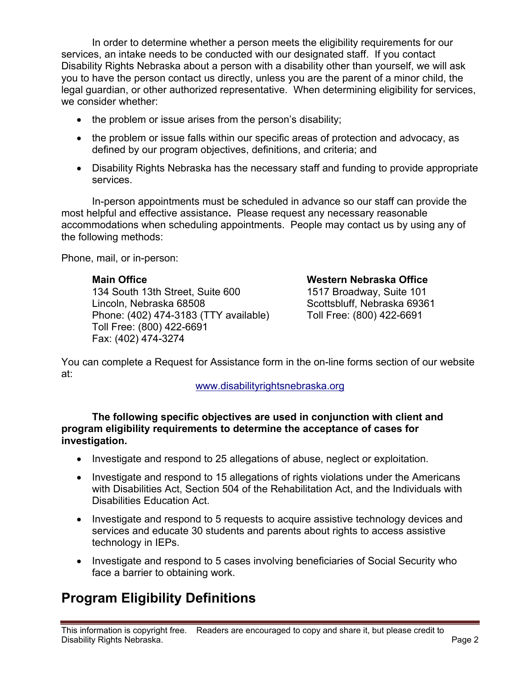In order to determine whether a person meets the eligibility requirements for our services, an intake needs to be conducted with our designated staff. If you contact Disability Rights Nebraska about a person with a disability other than yourself, we will ask you to have the person contact us directly, unless you are the parent of a minor child, the legal guardian, or other authorized representative. When determining eligibility for services, we consider whether:

- the problem or issue arises from the person's disability;
- the problem or issue falls within our specific areas of protection and advocacy, as defined by our program objectives, definitions, and criteria; and
- Disability Rights Nebraska has the necessary staff and funding to provide appropriate services.

In-person appointments must be scheduled in advance so our staff can provide the most helpful and effective assistance**.** Please request any necessary reasonable accommodations when scheduling appointments. People may contact us by using any of the following methods:

Phone, mail, or in-person:

134 South 13th Street, Suite 600 1517 Broadway, Suite 101 Lincoln, Nebraska 68508 Scottsbluff, Nebraska 69361 Phone: (402) 474-3183 (TTY available) Toll Free: (800) 422-6691 Toll Free: (800) 422-6691 Fax: (402) 474-3274

#### **Main Office Western Nebraska Office**

You can complete a Request for Assistance form in the on-line forms section of our website at:

#### [www.disabilityrightsnebraska.org](http://www.disabilityrightsnebraska.org/)

**The following specific objectives are used in conjunction with client and program eligibility requirements to determine the acceptance of cases for investigation.**

- Investigate and respond to 25 allegations of abuse, neglect or exploitation.
- Investigate and respond to 15 allegations of rights violations under the Americans with Disabilities Act, Section 504 of the Rehabilitation Act, and the Individuals with Disabilities Education Act.
- Investigate and respond to 5 requests to acquire assistive technology devices and services and educate 30 students and parents about rights to access assistive technology in IEPs.
- Investigate and respond to 5 cases involving beneficiaries of Social Security who face a barrier to obtaining work.

# **Program Eligibility Definitions**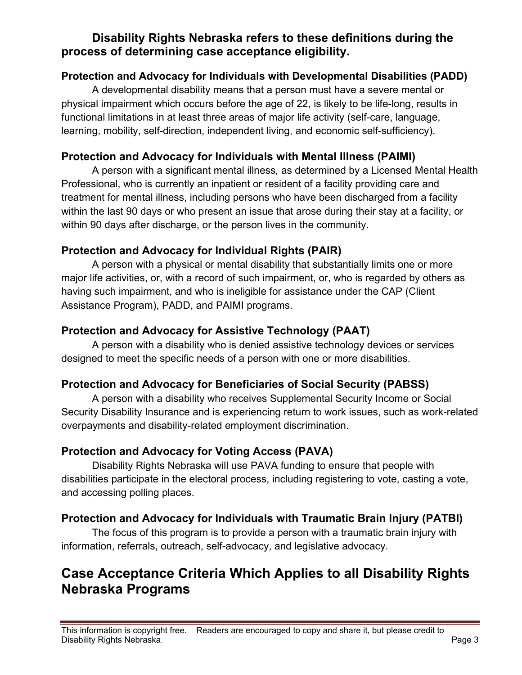### **Disability Rights Nebraska refers to these definitions during the process of determining case acceptance eligibility.**

#### **Protection and Advocacy for Individuals with Developmental Disabilities (PADD)**

A developmental disability means that a person must have a severe mental or physical impairment which occurs before the age of 22, is likely to be life-long, results in functional limitations in at least three areas of major life activity (self-care, language, learning, mobility, self-direction, independent living, and economic self-sufficiency).

### **Protection and Advocacy for Individuals with Mental Illness (PAIMI)**

A person with a significant mental illness*,* as determined by a Licensed Mental Health Professional, who is currently an inpatient or resident of a facility providing care and treatment for mental illness, including persons who have been discharged from a facility within the last 90 days or who present an issue that arose during their stay at a facility, or within 90 days after discharge, or the person lives in the community.

#### **Protection and Advocacy for Individual Rights (PAIR)**

A person with a physical or mental disability that substantially limits one or more major life activities, or, with a record of such impairment, or, who is regarded by others as having such impairment, and who is ineligible for assistance under the CAP (Client Assistance Program), PADD, and PAIMI programs.

#### **Protection and Advocacy for Assistive Technology (PAAT)**

A person with a disability who is denied assistive technology devices or services designed to meet the specific needs of a person with one or more disabilities.

#### **Protection and Advocacy for Beneficiaries of Social Security (PABSS)**

A person with a disability who receives Supplemental Security Income or Social Security Disability Insurance and is experiencing return to work issues, such as work-related overpayments and disability-related employment discrimination.

#### **Protection and Advocacy for Voting Access (PAVA)**

Disability Rights Nebraska will use PAVA funding to ensure that people with disabilities participate in the electoral process, including registering to vote, casting a vote, and accessing polling places.

#### **Protection and Advocacy for Individuals with Traumatic Brain Injury (PATBI)**

The focus of this program is to provide a person with a traumatic brain injury with information, referrals, outreach, self-advocacy, and legislative advocacy.

# **Case Acceptance Criteria Which Applies to all Disability Rights Nebraska Programs**